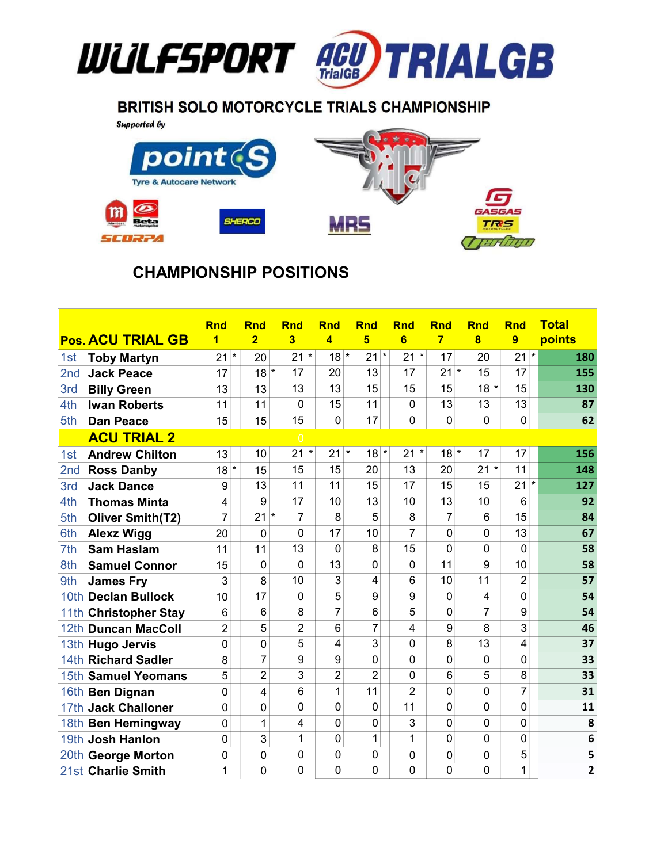

## BRITISH SOLO MOTORCYCLE TRIALS CHAMPIONSHIP

**Supported by** 



## CHAMPIONSHIP POSITIONS

|                 |                          | <b>Rnd</b>     | <b>Rnd</b>     | <b>Rnd</b>     | <b>Rnd</b>               | <b>Rnd</b>     | <b>Rnd</b>               | <b>Rnd</b>     | <b>Rnd</b>     | <b>Rnd</b>     | <b>Total</b>   |
|-----------------|--------------------------|----------------|----------------|----------------|--------------------------|----------------|--------------------------|----------------|----------------|----------------|----------------|
|                 | <b>Pos. ACU TRIAL GB</b> | 1              | $\overline{2}$ | 3              | 4                        | $5\phantom{1}$ | $6\phantom{1}$           | $\overline{7}$ | 8              | 9              | points         |
| 1st             | <b>Toby Martyn</b>       | $\star$<br>21  | 20             | 21             | $\star$<br>$18*$         | 21             | $\star$<br>$\star$<br>21 | 17             | 20             | $\star$<br>21  | 180            |
| 2nd             | <b>Jack Peace</b>        | 17             | $\star$<br>18  | 17             | 20                       | 13             | 17                       | 21<br>$\star$  | 15             | 17             | 155            |
| 3rd             | <b>Billy Green</b>       | 13             | 13             | 13             | 13                       | 15             | 15                       | 15             | $18*$          | 15             | 130            |
| 4th             | <b>Iwan Roberts</b>      | 11             | 11             | $\Omega$       | 15                       | 11             | $\mathbf 0$              | 13             | 13             | 13             | 87             |
| 5th             | <b>Dan Peace</b>         | 15             | 15             | 15             | $\mathbf 0$              | 17             | 0                        | $\mathbf 0$    | $\overline{0}$ | $\mathbf 0$    | 62             |
|                 | <b>ACU TRIAL 2</b>       |                |                | $\overline{0}$ |                          |                |                          |                |                |                |                |
| 1st             | <b>Andrew Chilton</b>    | 13             | 10             | 21             | $\star$<br>21<br>$\star$ | 18             | $\star$<br>$\star$<br>21 | $18*$          | 17             | 17             | 156            |
| 2 <sub>nd</sub> | <b>Ross Danby</b>        | $18*$          | 15             | 15             | 15                       | 20             | 13                       | 20             | $\star$<br>21  | 11             | 148            |
| 3rd             | <b>Jack Dance</b>        | 9              | 13             | 11             | 11                       | 15             | 17                       | 15             | 15             | $21$ *         | 127            |
| 4th             | <b>Thomas Minta</b>      | 4              | 9              | 17             | 10                       | 13             | 10                       | 13             | 10             | 6              | 92             |
| 5th             | <b>Oliver Smith(T2)</b>  | 7              | $\star$<br>21  | $\overline{7}$ | 8                        | 5              | 8                        | 7              | 6              | 15             | 84             |
| 6th             | <b>Alexz Wigg</b>        | 20             | 0              | $\Omega$       | 17                       | 10             | $\overline{7}$           | 0              | $\overline{0}$ | 13             | 67             |
| 7th             | <b>Sam Haslam</b>        | 11             | 11             | 13             | $\Omega$                 | 8              | 15                       | 0              | 0              | 0              | 58             |
| 8th             | <b>Samuel Connor</b>     | 15             | 0              | $\Omega$       | 13                       | 0              | 0                        | 11             | 9              | 10             | 58             |
| 9th             | <b>James Fry</b>         | 3              | 8              | 10             | 3                        | 4              | $6\phantom{1}6$          | 10             | 11             | $\overline{2}$ | 57             |
|                 | 10th Declan Bullock      | 10             | 17             | 0              | 5                        | 9              | 9                        | 0              | 4              | 0              | 54             |
|                 | 11th Christopher Stay    | 6              | 6              | 8              | $\overline{7}$           | 6              | 5                        | 0              | 7              | 9              | 54             |
|                 | 12th Duncan MacColl      | $\overline{2}$ | 5              | $\overline{2}$ | 6                        | $\overline{7}$ | 4                        | 9              | 8              | 3              | 46             |
|                 | 13th Hugo Jervis         | $\mathbf 0$    | $\mathbf 0$    | 5              | 4                        | 3              | 0                        | 8              | 13             | 4              | 37             |
|                 | 14th Richard Sadler      | 8              | 7              | 9              | 9                        | 0              | $\overline{0}$           | $\mathbf 0$    | $\Omega$       | 0              | 33             |
|                 | 15th Samuel Yeomans      | 5              | $\overline{2}$ | 3              | $\overline{2}$           | $\overline{2}$ | 0                        | 6              | 5              | 8              | 33             |
|                 | 16th Ben Dignan          | $\mathbf 0$    | 4              | 6              | 1                        | 11             | $\overline{2}$           | $\mathbf 0$    | 0              | 7              | 31             |
|                 | 17th Jack Challoner      | $\mathbf 0$    | 0              | $\Omega$       | $\mathbf 0$              | 0              | 11                       | $\mathbf 0$    | $\mathbf 0$    | 0              | 11             |
|                 | 18th Ben Hemingway       | 0              | 1              | 4              | $\mathbf 0$              | 0              | 3                        | 0              | $\Omega$       | 0              | 8              |
|                 | 19th Josh Hanlon         | 0              | 3              | 1              | 0                        | 1              | 1                        | 0              | $\overline{0}$ | 0              | 6              |
|                 | 20th George Morton       | 0              | 0              | 0              | $\mathbf 0$              | 0              | 0                        | 0              | $\mathbf 0$    | 5              | 5              |
|                 | 21st Charlie Smith       | 1              | $\Omega$       | $\Omega$       | $\Omega$                 | 0              | 0                        | $\Omega$       | $\Omega$       | 1              | $\overline{2}$ |